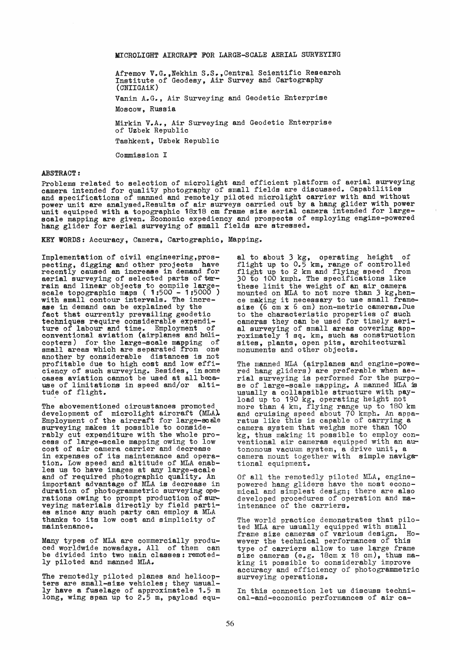MICROLIGHT AIRCRAFT FOR LARGE-SCALE AERIAL SURVEYING

Afremov V.G.,Nekhin S.S.,Central Scientific Research Institute of Geodesy, Air Survey and Cartography (CNIIGAiK)

Vanin A.G., Air Surveying and Geodetic Enterprise Moacow, Russia

Mirkin V.A., Air Surveying and Geodetio Enterprise of Uzbek Republic

Tashkent, Uzbek Republio

Commission I

## ABSTRACT:

Problems related to selection of microlight and efficient platform of aerial surveying camera intended for quality photography of small fields are discussed.. Capabilities and specifications of manned and remotely piloted microlight carrier with and without power unit are analysed. Results of air surveys carried out by a hang glider with power<br>unit equipped with a topographic 18x18 cm frame size aerial camera intended for large-<br>scale mapping are given. Economic expediency an hang glider for aerial surveying of small fields are stressed.

KEY WORDS: Accuracy, Camera, Cartographic, Mapping.

Implementation of civil engineering,prospecting, digging and other projects have reeently caused an increase in demand for aerial surveying of selected parts of ter-<br>rain and linear objects to compile large-<br>scale topographic maps (  $1:500 - 1:5000$  ) scare volve intervals. The incre-<br>ase in demand can be explained by the<br>fact that currently prevailing geodetic fact that currently prevailing geodetic<br>techniques require considerable expenditure of labour and time. Employment of conventional aviation (airplanes and helicopters) for the large-scale mapping of small areas which are separated from one another by eonsiderable distanees is not profitable due to high cost and low effipriories of such surveying. Besides, in some cases aviation cannot be used at all beca-<br>use of limitations in speed and/or altitude of flight.

The abovementioned circustanoes promoted development of miorolight aircraft (MLA). Employment of the aireraft for large-scäle surveying makes it possible to oonsiderably cut expenditure with the whole proeess of large-soale mapping owing to low oost of air oamera carrier and decrease in expenses of its maintenance and operation. Low speed and altitude of MLA enab-<br>les us to have images at any large-scale<br>and of required photographic quality. An important advantage of MLA is deorease in duration of photogrammetric surveying operations owing to prompt production of surveying materials directly by field parties sinoe any suoh party can employ a MLA thanks to its low oost and simplioity of maintenanoe ..

Many types of MLA are commercially produced worldwide nowadays. All of them oan be divided into two main classes: remotedly piloted and manned MLA.

The remotedly piloted planes and helicopters are small-size vehicles; they usually have a fuselage of approximatele 1.5 m long, wing span up to 2.5 m, payload equ-

al to about 3 kg, operating height of flight up to *0.5* km, range of oontrolled flight up to 2 km and flying speed from 30 to 100 kmph. The specifications like these limit the weight of an air oamera mounted on MLA to not more than 3 kg, henoe making it neoessary to use emaIl framesize (6 cm x 6 cm) non-metric cameras. Due to the oharaoteristio properties of suoh oameras they oan be used for timely aerial surveying of small areas covering app-<br>roximately 1 sq. km, such as construction sites, plants, open pits, architectural monuments and other objects.

The manned MLA (airplanes and engine-powe-red hang gliders) are preferable when aerial surveying is performed for the purpose of large-scale mapping. A manned MLA is usually a oollapsible struoture with pay- load up to 190 kg, operating height not more than 4 km, flying range up to 180 km and cruising speed about 70 kmph. An appa-ratus like this is capable of carrying a camera system that weighs more than 100 kg, thus making it possible to employ conventional air cameras equipped with an autonomous vacuum system, a drive unit, a camera mount together with simple navigational equipment.

Of all the remotedly piloted MLA, engine- powered hang gliders have the most economical and simplest design; there are also developed procedures of operation and maintenance of the carriers.

The world practice demonstrates that pilo-<br>ted MLA are usually equipped with small<br>frame size cameras of various design. Hoframe size cameras of various design. wever the technical performances of this type of carriers allow to use large frame size cameras (e.g. 18cm x 18 cm), thus ma-<br>king it possible to considerably improve accuracy and efficiency of photogrammetric surveying operations.

In this connection let us discuss technioal-and-economic performances of air ca-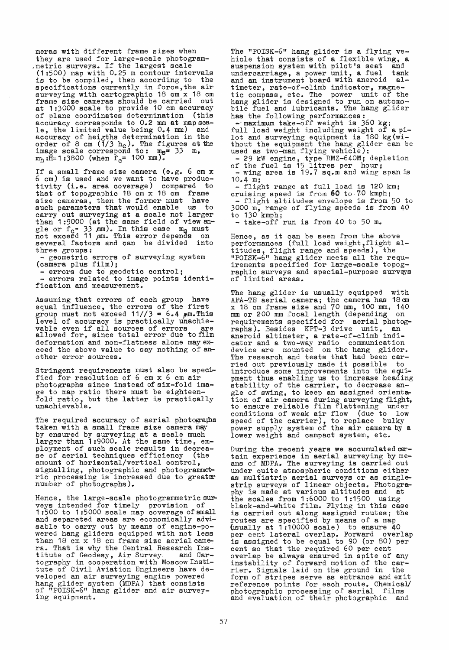meras with different frame sizes when<br>they are used for large-scale photogram-, metric surveys. If the largest scale (1 :500) map with 0.25 m contour intervals is to be compiled, then according to the specifications currently in force,the air surveying with cartographic 18 cm x 18 cm frame size cameras should be carried out at 1:3000 scale to provide 10 cm accuracy of plane coordinates determination (this accuracy corresponds to 0.2 mm at map sca-<br>le, the limited value being 0.4 mm) and accuraoy of heigths determination in the order of 8 cm  $(1/3 h_c)$ . The figures at the image scale correspond to:  $mg^2$  33 m,  $m_h$ :H=1:3800 (when  $f_c$ = 100 mm).

If a small frame size camera (e.g.  $6 \text{ cm } x$  $6$  cm) is used and we want to have productivity (i.e. area coverage) compared to that of topographic  $18 \text{ cm } x$   $18 \text{ cm }$  frame size eameras, then the former must have such parameters that would enable us to<br>carry out surveying at a scale not larger earry out surveying at a scale not larger than 1:9000 (at the same field of viewangle or  $f_c = 33$  mm). In this case mg must<br>not exceed 11 mm. This error depends on several factors and can be divided into<br>three groups:

the geometric errors of surveying system<br>(camera plus film);<br>- errors due to geodetic control;<br>- errors related to image points identification and measurement.

Assuming that errors of each group have equal influence, the errors of the first group must not exceed  $11//3 = 6.4$   $\mu$ m.This level of accuracy is practically unachie-<br>vable even if all sources of errors are<br>allowed for, since total error due to film deformation and non-flatness alone may ex-<br>ceed the above value to say nothing of another error sources.

stringent requirements must also be specified for resolution of 6 cm x 6 cm air photographs since instead of six-fold image to map ratio there must be eighteen-<br>fold ratio, but the latter is practically<br>unachievable.

The required accuracy of aerial photographs taken with a small frame size camera maw by ensured by surveying at a scale much larger than 1:9000. At the same time, employment of such scale results in decrea-<br>se of aerial techniques efficiency (the se of aerial techniques efficiency amount of horizontal/vertical control, signalling, photographic and photogrammet-<br>ric processing is increased due to greater<br>number of photographs).

Hence, the large-scale photogrammetric surveys intended for timely provision of 1 :500 to 1 :5000 seale map eoverage of smail and separeted areas are economically advi-<br>sable to carry out by means of engine-posable to carry out by means of engine-po-<br>wered hang gliders equipped with not less than 18 cm x 18 cm frame size aerial camera. That is why the Central Research Ins-<br>titute of Geodesy, Air Survey. and Cartitute of Geodesy, Air Survey, tography in cooperation with Moscow Institute of Civil Aviation Engineers have developed an air surveying engine powered hang glider system (MDPA) that consists of "POISK-6" hang glider and air survey- ing equipment ..

The "POISK-6" hang glider is a flying vehicle that consists of a flexible wing, a<br>suspension system with pilot's seat and suspension system with pilot's seat undercarriage, a power unit, a fuel tank and an instrument board with aneroid altimeter, rate-of-climb indicator, magne-<br>tic compass, etc. The power unit of the hang glider is designed to run on automobile fuel and lubricants. The hang glider

has the following performances:<br>- maximum take-off weight is 360 kg;<br>full load weight including weight of a pi-<br>lot and surveying equipment is 180 kg(wi-<br>thout the equipment the hang glider can be<br>used as two-man flying v

 $-29$  kW engine, type RMZ-640M; depletion<br>of the fuel is 15 litres per hour;<br>- wing area is 19.7 sq.m and wing span is<br>10.4 m;

 $10.4$  m;<br>- flight range at full load is 120 km;

cruising speed is from 60 to 70 kmph;<br>- flight altitudes envelope is from 50 to 3000 m, range of flying speeds is from 40 to  $130 \text{ kmph}$ ;<br>- take-off run is from 40 to 50 m.

Hence, as it can be seen from the above performances (full load weight, flight altitudes, flight range and speeds), the npoISK-6" hang glider meets all the requ-<br>irements specified for large-scale topog-<br>raphic surveys and special-purpose surveys<br>of limited areas.

The hang glider is usually equipped with AFA-TE aerial camera; the camera has 18cm x 18 cm frame aize and 70 mm, 100 mm, 140 mm or 200 mm focal length (depending on requirements specified for aerial photog-<br>raphs). Besides KPT-3 drive unit, an aneroid altimeter, a rate-of-climb indieator and a two-way radio eommunication device are mounted on the hang glider.<br>The research and tests that had been carried out previously made it possible to introduce some improvements into the equipment thus enabling us to increase heading stability of the carrier, to decrease angle of swing, to keep an assigned orientation of air camera during surveying flight, to ensure reliable film flattening under conditions of weak air flow (due to low speed of the carrier), to replace bulky power supply system of the air camera by a lower weight and campact system, etc.

During the recent years we accumulated certain experience in aerial surveying by means of MDPA. The surveying is carried out under quite atmospheric conditions either<br>as multistrip aerial surveys or as singleas multistrip aerial surveys or as single-<br>strip surveys of linear objects. Photogra-<br>phy is made at various altitudes and at the scales from 1:6000 to 1:1500 using blaek-and-white film. Flying in this case is carried out along assigned routes; the routes are specified by means of a map routes are specified by means of a map usually at 1:10000 scale) to ensure 40 per cent lateral overlap. Forward overlap is assigned to be equal to 90 (or 80) per cent so that the required 60 per cent<br>overlap be always ensured in spite of any instability of forward motion of the carrier. Signals laid on the ground in the form of stripes serve as entrance and exit reference points for each route. Chemical/<br>photographic processing of aerial films photographic processing of aerial and evaluation of their photographic and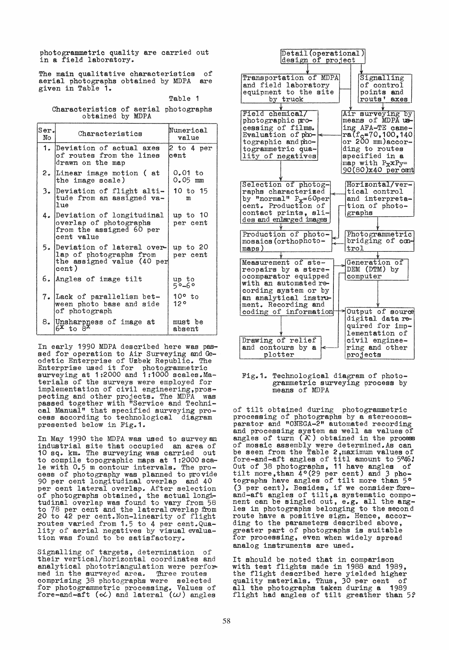photogrammetric quality are carried out in a field laboratory.

The main qualitative characteristics of aerial photographs obtained by MDPA are given in Table 1.

## Table 1

Characteristics of aerial photographs obtained by MDPA

| $ Ser_{\bullet} $<br>No | Characteristics                                                                                  | Numerical<br>value     |  |  |
|-------------------------|--------------------------------------------------------------------------------------------------|------------------------|--|--|
|                         | 1. Deviation of actual axes<br>of routes from the lines<br>drawn on the map                      | 2 to 4 per<br>cent     |  |  |
| 2.                      | Linear image motion (at<br>the image scale)                                                      | 0.01 to<br>$0.05$ mm   |  |  |
| 3.                      | Deviation of flight alti-<br>tude from an assigned va-<br>lue                                    | 10 to 15<br>m          |  |  |
|                         | 4. Deviation of longitudinal<br>overlap of photographs<br>from the assigned 60 per<br>cent value | up to 10<br>per cent   |  |  |
|                         | 5. Deviation of lateral over-<br>lap of photographs from<br>the assigned value (40 per<br>cent)  | up to 20<br>per cent   |  |  |
|                         | 6. Angles of image tilt                                                                          | up to<br>5°-6°         |  |  |
|                         | 7. Lack of parallelism bet-<br>ween photo base and side<br>of photograph                         | $10^{\circ}$ to<br>12° |  |  |
|                         | 8. Unsharpness of image at $6^x$ to $8^x$                                                        | must be<br>absent      |  |  |

In early 1990 MDPA described here was pas-<br>sed for operation to Air Surveying and Geodetic Enterprise of Uzbek Republic. The Enterprise used it for photogrammetric surveying at 1:2000 and 1:1000 scales.Materials of the surveys were employed for implementation of civil engineering, pros-<br>pecting and other projects. The MDPA was passed together with "Service and Technical Manual" that specified surveying proeess according to technological diagram presented below in Fig.1.

In May 1990 the MDPA was used to survey an industrial site that occupied an area of 10 sq. km. The surveying was earried out to compile topographie maps at 1 :2000 scale with 0.5 m contour intervals. The process of photography was planned to provide 90 per cent longitudinal overlap end 40 per cent lateral overlap. After selection of photographs obtained, the actual longitudinal overlap was found to vary from 58 to 78 per cent and the lateral overlap from 20 to 42 per eent.Non-linearity of flight routes varied from 1.5 to 4 per eent.Qua- lity of aerial negatives by visual evaluation was found to be satisfactory.

Signalling of targets, determination of their vertical/horizontal coordinates and analytical phototriangulation were performed in the surveyed area. Three routes comprising 38 photographs were seleeted for photogrammetrie proeessing. Values of fore-and-aft  $(\alpha)$  and lateral  $(\omega)$  angles



## Fig.1. Technological diagram of photo-<br>grammetric surveying process by meens of MOPA

of tilt obtained during photogrammetric procesaing of photographs by e stereocomparator and "ONEGA-2" automated recording<br>and processing system as well as values of angles of turn  $(X)$  obtained in the process of mosaic assembly were determined. As can be seen from the Table 2,maximum values of fore-end-aft angles of titl amount to 5°46: Out of 38 photographs, 11 have angles of tilt more,than 4°(29 per cent) end 3 pho- tographs have angles of tilt more than 5°  $(3 \text{ per cent})$ . Besides, if we consider fore-() per cent). besides, if we consider fore-<br>and-aft angles of tilt, a systematic compoand ant angles of thit, a systematic compo-<br>nent can be singled out, e.g. all the ang-<br>les in photographs belonging to the second route have a positive sign. Hence, aceording to the parameters described above, greater part of photographs is suitable for processing, even when widely spread analog instruments are used.

It should be noted that in comparison with test flights made in 1988 and 1989, the flight described here yielded higher quality materials. Thus, 30 per cent of all the photographs taken during a 1989 flight had angles of tilt greather than 5?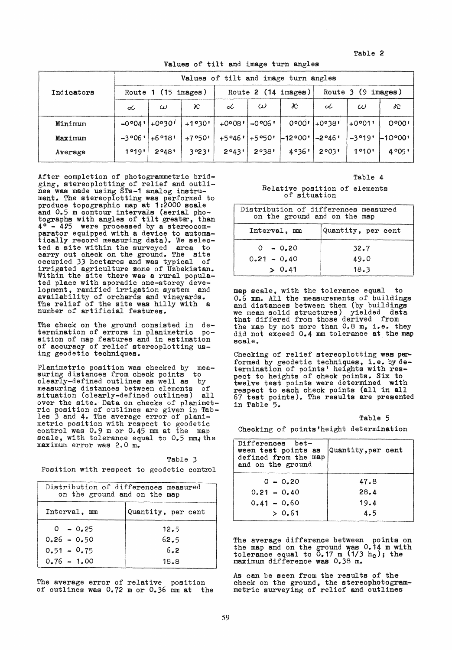Table 2

Values of' tilt and image turn angles

|            | Values of tilt and image turn angles |          |                     |                 |          |                         |         |          |           |
|------------|--------------------------------------|----------|---------------------|-----------------|----------|-------------------------|---------|----------|-----------|
| Indicators | $(15 \text{ images})$<br>Route 1     |          | Route 2 (14 images) |                 |          | Route $3(9)$<br>images) |         |          |           |
|            | L                                    | $\omega$ | x                   | ⇙               | $\omega$ | た                       | ⇙       | $\omega$ | XC.       |
| Minimum    | $-0.004$                             | $+0°30'$ | $+1°30"$            | $+0°08"$        | $-0.006$ | 0°00"                   | +0°38'  | $+0°01'$ | 0°00'     |
| Maximum    | $-3006$                              | $+6°18'$ | $+7°50'$            | $+5°46'$ +5°50' |          | $-12000$                | $-2046$ | $-3°19'$ | $-10°00'$ |
| Average    | 1°19"                                | 2°48'    | 3°23"               | 2°43"           | 2°38"    | 4°36'                   | 20031   | 1°10'    | 4°05'     |

After completion of photogrammetric bridging, stereoplotting of relief and outlines was made using STs-1 analog instrument. The stereoplotting was performed to produce topographic map at 1:2000 scale and 0.5 m contour intervals (aerial pho-<br>tographs with angles of tilt greater, than<br> $4^{\circ}$  =  $4^{\circ}5$  were processed by a stereocom- $-4.95$  were processed by a stereocomparator equipped with a device to automatically record measuring data). We selected a aite within the surveyed area to carry out check on the ground. The site occupied 33 hectares and was typical of irrigated agriculture zone of Uzbekistan. Within the site there was a rural popula-<br>ted place with sporadic one-storey deve-<br>lopment, ramified irrigation system and lopment, ramified irrigation system and availability of orchards and vineyards. The relief of the site was hilly with a number of artifieial features.

The check on the ground consisted in de-<br>termination of errors in planimetric position of map features and in estimation of accuracy of relief stereoplotting using geodetic techniques.

Planimetrie position was checked by measuring distances from check points to clearly-defined outlines as weIl as by measuring distances between elements of situation (clearly-defined outlines) all over the site. Data on checks of planimet-<br>ric position of outlines are given in Tab-<br>les 3 and 4. The average error of planimetric position with respect to geodetic control was 0.9 m or 0.45 mm at the map scale, with tolerance equal to 0.5 mm; the maximum error was 2.0 m.

|  |  | Table 3                                   |  |
|--|--|-------------------------------------------|--|
|  |  | Position with respect to geodetic control |  |

| Distribution of differences measured<br>on the ground and on the map |                    |  |  |  |
|----------------------------------------------------------------------|--------------------|--|--|--|
| Interval, mm                                                         | Quantity, per cent |  |  |  |
| $0 - 0.25$                                                           | 12.5               |  |  |  |
| $0.26 - 0.50$                                                        | 62.5               |  |  |  |
| $0.51 - 0.75$                                                        | 6.2                |  |  |  |
| $0.76 - 1.00$                                                        | 18.8               |  |  |  |

The average error of relative position of outlines was  $0.72$  m or  $0.36$  mm at the

## Table 4

Relative position of elements of situation

| Distribution of differences measured<br>on the ground and on the map |                    |  |  |
|----------------------------------------------------------------------|--------------------|--|--|
| Interval. mm                                                         | Quantity, per cent |  |  |
| $0 - 0.20$                                                           | 32.7               |  |  |
| $0.21 - 0.40$                                                        | 49.0               |  |  |
| > 0.41                                                               | 18.3               |  |  |

map scale, with the tolerance equal to  $0.6$  mm. All the measurements of buildings<br>and distances between them (by buildings<br>we mean solid structures) vielded data we mean solid structures) yielded data that differed from those derived from the map by not more than  $0.8$  m, i.e. they did not exceed 0.4 mm tolerance at the map scale.

Checking of relief stereoplotting was performed by geodetic techniques, i.e. by de-<br>termination of points' heights with respect to heights of check points. Six to twelve test points were determined with respect to each check points (all in all 67 test points). The results are presented in Table 5.

| г<br>معتد |  |
|-----------|--|
|-----------|--|

Checking of points'height determination

| Differences bet-<br>ween test points as<br>defined from the map<br>and on the ground | Quantity, per cent |
|--------------------------------------------------------------------------------------|--------------------|
| $0 - 0.20$                                                                           | 47.8               |
| $0.21 - 0.40$                                                                        | 28.4               |
| $0.41 - 0.60$                                                                        | 19.4               |
| > 0.61                                                                               | 4.5                |

The average difference between points on the map and on the ground was 0.14 m with tolerance equal to  $0.17 \text{ m}$   $(1/3 \text{ h}_c)$ ; the maximum difference was 0.38 m.

As can be seen from the results of the check on the ground, the stereophotogram- metric surveying of relief end outlines